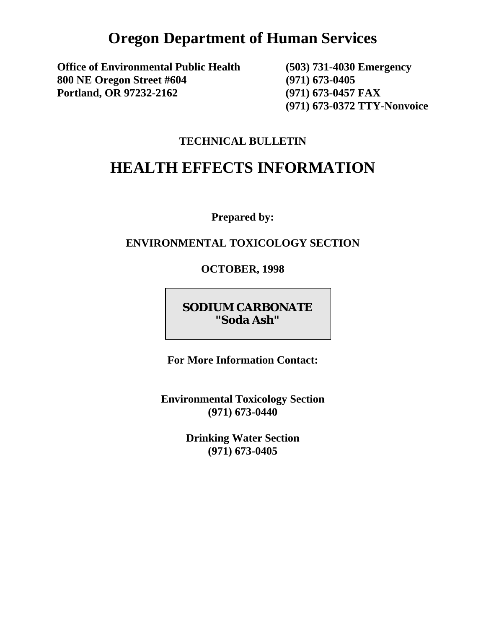# **Oregon Department of Human Services**

**Office of Environmental Public Health (503) 731-4030 Emergency 800 NE Oregon Street #604 (971) 673-0405 Portland, OR 97232-2162 (971) 673-0457 FAX** 

 **(971) 673-0372 TTY-Nonvoice** 

#### **TECHNICAL BULLETIN**

# **HEALTH EFFECTS INFORMATION**

**Prepared by:** 

#### **ENVIRONMENTAL TOXICOLOGY SECTION**

**OCTOBER, 1998** 

## **SODIUM CARBONATE "Soda Ash"**

**For More Information Contact:** 

**Environmental Toxicology Section (971) 673-0440** 

> **Drinking Water Section (971) 673-0405**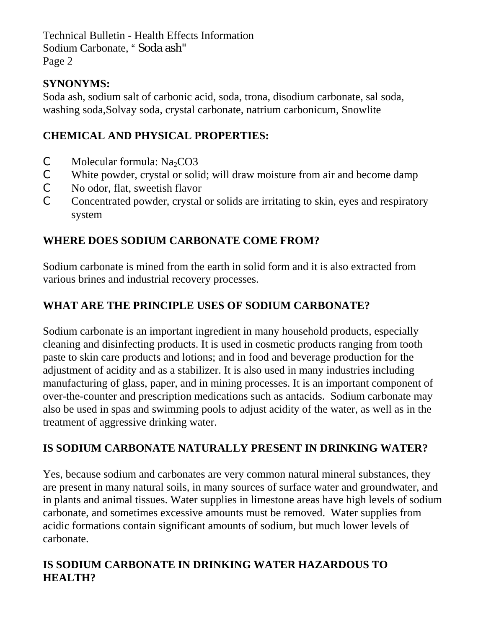Technical Bulletin - Health Effects Information Sodium Carbonate, "Soda ash" Page 2

## **SYNONYMS:**

Soda ash, sodium salt of carbonic acid, soda, trona, disodium carbonate, sal soda, washing soda,Solvay soda, crystal carbonate, natrium carbonicum, Snowlite

## **CHEMICAL AND PHYSICAL PROPERTIES:**

- $\mathcal{C}$  Molecular formula: Na<sub>2</sub>CO3
- C White powder, crystal or solid; will draw moisture from air and become damp
- C No odor, flat, sweetish flavor
- C Concentrated powder, crystal or solids are irritating to skin, eyes and respiratory system

## **WHERE DOES SODIUM CARBONATE COME FROM?**

Sodium carbonate is mined from the earth in solid form and it is also extracted from various brines and industrial recovery processes.

## **WHAT ARE THE PRINCIPLE USES OF SODIUM CARBONATE?**

Sodium carbonate is an important ingredient in many household products, especially cleaning and disinfecting products. It is used in cosmetic products ranging from tooth paste to skin care products and lotions; and in food and beverage production for the adjustment of acidity and as a stabilizer. It is also used in many industries including manufacturing of glass, paper, and in mining processes. It is an important component of over-the-counter and prescription medications such as antacids. Sodium carbonate may also be used in spas and swimming pools to adjust acidity of the water, as well as in the treatment of aggressive drinking water.

## **IS SODIUM CARBONATE NATURALLY PRESENT IN DRINKING WATER?**

Yes, because sodium and carbonates are very common natural mineral substances, they are present in many natural soils, in many sources of surface water and groundwater, and in plants and animal tissues. Water supplies in limestone areas have high levels of sodium carbonate, and sometimes excessive amounts must be removed. Water supplies from acidic formations contain significant amounts of sodium, but much lower levels of carbonate.

## **IS SODIUM CARBONATE IN DRINKING WATER HAZARDOUS TO HEALTH?**